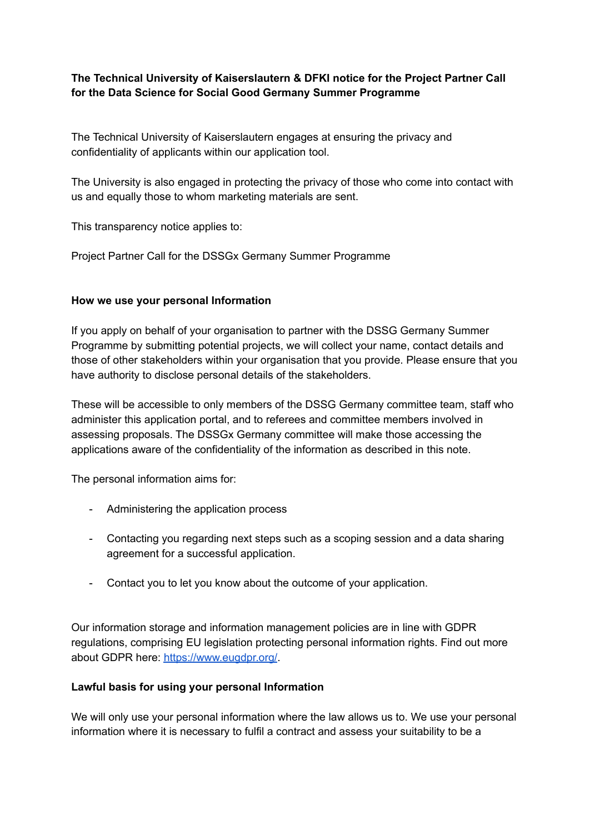# **The Technical University of Kaiserslautern & DFKI notice for the Project Partner Call for the Data Science for Social Good Germany Summer Programme**

The Technical University of Kaiserslautern engages at ensuring the privacy and confidentiality of applicants within our application tool.

The University is also engaged in protecting the privacy of those who come into contact with us and equally those to whom marketing materials are sent.

This transparency notice applies to:

Project Partner Call for the DSSGx Germany Summer Programme

## **How we use your personal Information**

If you apply on behalf of your organisation to partner with the DSSG Germany Summer Programme by submitting potential projects, we will collect your name, contact details and those of other stakeholders within your organisation that you provide. Please ensure that you have authority to disclose personal details of the stakeholders.

These will be accessible to only members of the DSSG Germany committee team, staff who administer this application portal, and to referees and committee members involved in assessing proposals. The DSSGx Germany committee will make those accessing the applications aware of the confidentiality of the information as described in this note.

The personal information aims for:

- Administering the application process
- Contacting you regarding next steps such as a scoping session and a data sharing agreement for a successful application.
- Contact you to let you know about the outcome of your application.

Our information storage and information management policies are in line with GDPR regulations, comprising EU legislation protecting personal information rights. Find out more about GDPR here: <https://www.eugdpr.org/>.

#### **Lawful basis for using your personal Information**

We will only use your personal information where the law allows us to. We use your personal information where it is necessary to fulfil a contract and assess your suitability to be a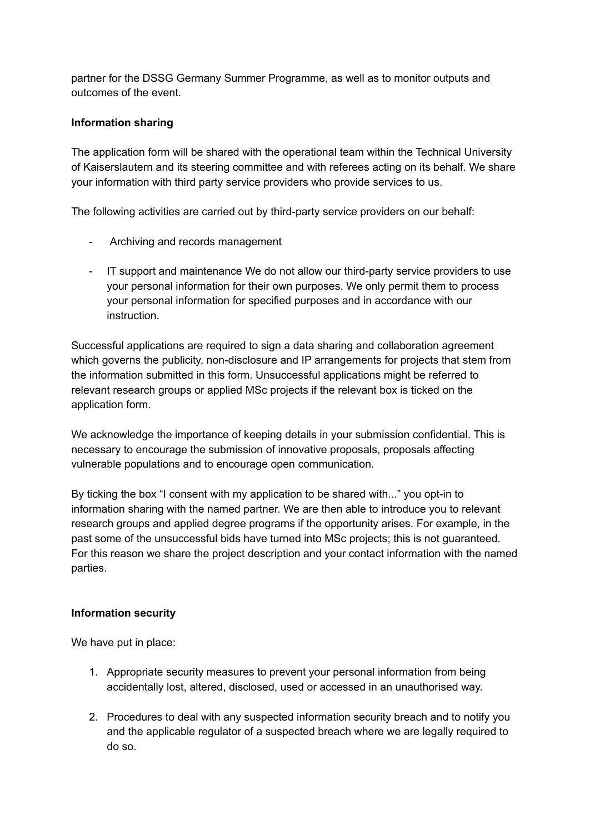partner for the DSSG Germany Summer Programme, as well as to monitor outputs and outcomes of the event.

# **Information sharing**

The application form will be shared with the operational team within the Technical University of Kaiserslautern and its steering committee and with referees acting on its behalf. We share your information with third party service providers who provide services to us.

The following activities are carried out by third-party service providers on our behalf:

- Archiving and records management
- IT support and maintenance We do not allow our third-party service providers to use your personal information for their own purposes. We only permit them to process your personal information for specified purposes and in accordance with our instruction.

Successful applications are required to sign a data sharing and collaboration agreement which governs the publicity, non-disclosure and IP arrangements for projects that stem from the information submitted in this form. Unsuccessful applications might be referred to relevant research groups or applied MSc projects if the relevant box is ticked on the application form.

We acknowledge the importance of keeping details in your submission confidential. This is necessary to encourage the submission of innovative proposals, proposals affecting vulnerable populations and to encourage open communication.

By ticking the box "I consent with my application to be shared with..." you opt-in to information sharing with the named partner. We are then able to introduce you to relevant research groups and applied degree programs if the opportunity arises. For example, in the past some of the unsuccessful bids have turned into MSc projects; this is not guaranteed. For this reason we share the project description and your contact information with the named parties.

# **Information security**

We have put in place:

- 1. Appropriate security measures to prevent your personal information from being accidentally lost, altered, disclosed, used or accessed in an unauthorised way.
- 2. Procedures to deal with any suspected information security breach and to notify you and the applicable regulator of a suspected breach where we are legally required to do so.